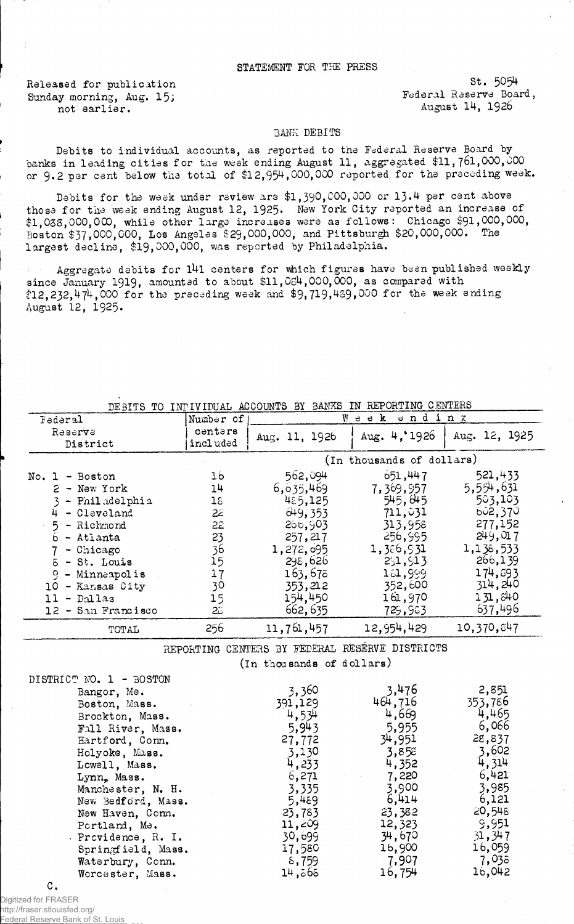## STATEMENT FOR THE PRESS

Sunday morning, Aug. 15;<br>not earlier. https://www.mot.com/integration.com/integration.com/integration.com/integration.com/integration.com/<br>August 14, 1926. not earlier.

Released for publication St. 5054<br>Sunday morning Aug. 15: Sunday Federal Reserve Board,

## BANK DEBITS

Debits to individual accounts, as reported to the Federal Reserve Board by banks in leading cities for the week ending August 11, aggregated \$11,761,000,000 or 9.2 per cent below the total of \$12,954,000,000 reported for the preceding week.

Debits for the week under review are \$1,390,000,000 or 13.4 per cent above those for the week ending August 12, 1925. New York City reported an increase of \$1,038,000,000, while other large increases were as follows: Chicago \$91,000,000, Boston \$37,000,000, Los Angeles \$29,000,000, and Pittsburgh \$20,000,000. The largest decline, \$19,000,000, was reported by Philadelphia.

Aggregate debits for l4l centers for which figures have been published weekly since January 1919, amounted to about  $$11,064,000,000$ , as compared with  $$12,232,474,000$  for the preceding week and  $$9,719,439,000$  for the week ending August 12, 1925.

| DEBITS TO INPIVIDUAL ACCOUNTS BY BANKS IN REPORTING CENTERS |                           |                                                |                |               |  |
|-------------------------------------------------------------|---------------------------|------------------------------------------------|----------------|---------------|--|
| Federal                                                     | Number of                 | Week ending                                    |                |               |  |
| Reserve                                                     | centers                   | Aug. 11, $1926$                                | Aug. $4, 1926$ | Aug. 12, 1925 |  |
| District                                                    | included                  |                                                |                |               |  |
|                                                             | (In thousands of dollars) |                                                |                |               |  |
| $No. 1 - Boston$                                            | 16                        | 562,094                                        | 651, 447       | 521,433       |  |
| $2$ - New York                                              | 14                        | 6,635,469                                      | 7,369,957      | 5,554,631     |  |
| 3 - Philadelphia                                            | 18 <sub>1</sub>           | 485,125                                        | 545,045        | 503,103       |  |
| 4 - Cleveland                                               | 22 <sup>2</sup>           | 649, 353                                       | 711,031        | 602,370       |  |
| $5 -$ Richmond                                              | 22                        | 266,903                                        | 313,958        | 277,152       |  |
| $6 -$ Atlanta                                               | 23                        | 257,217                                        | 256,995        | 249,017       |  |
| $7 -$ Chicago                                               | 36                        | 1,272,695                                      | 1,386,931      | 1,138,533     |  |
| $5 - St.$ Louis                                             | 15                        | 298,626                                        | 291, 513       | 266,139       |  |
| 9 - Minneapolis                                             | 17                        | 163,678                                        | 181,999        | 174,593       |  |
| 10 - Kansas City                                            | 30                        | 353,212                                        | 352,600        | 314,240       |  |
| $11 - Dallas$                                               | 15                        | 154,450                                        | 161,970        | 131,840       |  |
| 12 - San Francisco                                          | $2\tilde{c}$              | 662,635                                        | 729,983        | 637,496       |  |
| TOTAL                                                       | 256                       | 11,761,457                                     | 12,954,429     | 10,370,847    |  |
|                                                             |                           | REPORTING CENTERS BY FEDERAL RESERVE DISTRICTS |                |               |  |
|                                                             |                           | (In thousands of dollars)                      |                |               |  |
| DISTRICT NO. 1 - BOSTON                                     |                           |                                                |                |               |  |
| Bangor, Me.                                                 |                           | 3,360                                          | 3,476          | 2,851         |  |
| Boston, Mass.                                               |                           | 391,129                                        | 464,716        | 353,786       |  |
| Brockton, Mass.                                             |                           | 4,534                                          | 4,669          | 4,465         |  |
| Fall River, Mass.                                           |                           | 5,943                                          | 5,955          | 6,066         |  |
| Hartford, Conn.                                             |                           | 27,772                                         | 34,951         | 28,837        |  |
| Holyoke, Mass.                                              |                           | 3,130                                          | 3,858          | 3,602         |  |
| Lowell, Mass.                                               |                           | 4,233                                          | 4,352          | 4,314         |  |
| Lynn. Mass.                                                 |                           | 6,271                                          | 7,220          | 6,421         |  |
| Manchester, N. H.                                           |                           | 3,335                                          | 3,900          | 3,985         |  |
| New Bedford, Mass.                                          |                           | 5,489                                          | 6,414          | 6,121         |  |
| New Haven, Conn.                                            |                           | 23,783                                         | 23,382         | 20,548        |  |
| Portland, Me.                                               |                           | 11,209                                         | 12,323         | 9,951         |  |
| . Providence, R. I.                                         |                           | 30,099                                         | 34,670         | 31, 347       |  |
| Springfield, Mass.                                          |                           | 17,580                                         | 16,900         | 16,059        |  |
| Waterbury, Conn.                                            |                           | 8,759                                          | 7,907          | 7,038         |  |
| Worcester, Mass.                                            |                           | 565, 14                                        | 16,754         | 16,042        |  |
| C.                                                          |                           |                                                |                |               |  |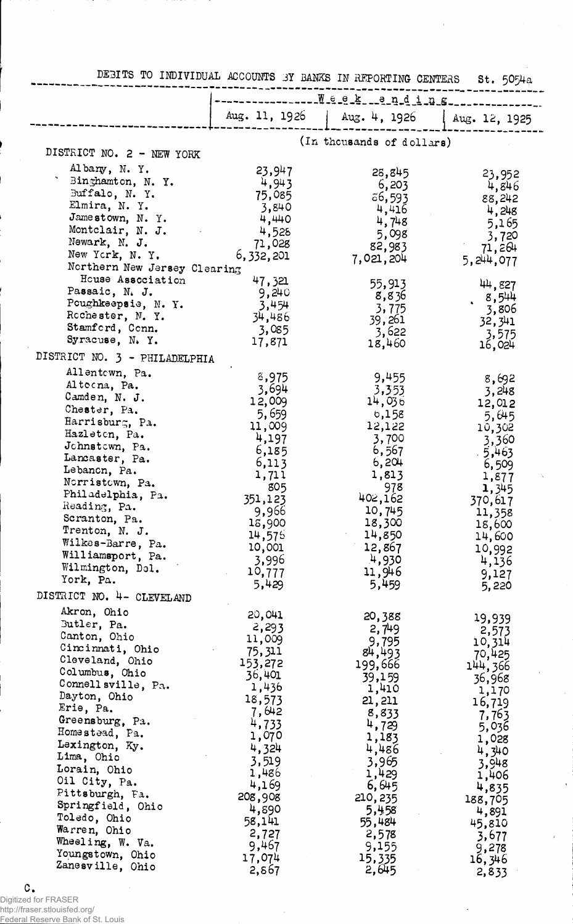| DESITS TO INDIVIDUAL ACCOUNTS 3Y BANKS IN REPORTING CENTERS |                   |                           | St. 5054a             |
|-------------------------------------------------------------|-------------------|---------------------------|-----------------------|
|                                                             | Week __ anding    |                           |                       |
|                                                             | Aug. 11, 1926     | Aug. 4, 1926              | Aug. 12, 1925         |
|                                                             |                   | (In thousands of dollars) |                       |
| DISTRICT NO. 2 - NEW YORK                                   |                   |                           |                       |
| Albany, N.Y.                                                | 23,947            | 28,845                    |                       |
| Binghamton, N.Y.                                            | 4,943             | 6,203                     | 23,952<br>4,846       |
| Buffalo, N.Y.                                               | 75,085            | 56,593                    | 88,242                |
| Elmira, N. Y.<br>Jamestown, N.Y.                            | 3,840             | 4,416                     | 4,248                 |
| Montclair, N. J.                                            | 4,440<br>4,528    | 4,748                     | 5,165                 |
| Newark, N. J.                                               | 71,028            | 5,098<br>82,983           | 3,720                 |
| New York, N.Y.                                              | 6, 332, 201       | 7,021,204                 | 71,264<br>5, 244, 077 |
| Northern New Jersey Clearing                                |                   |                           |                       |
| House Association<br>Passaic, N. J.                         | 47,321            | 55,913                    | 44,827                |
| Poughkeepsie, N.Y.                                          | 9,240<br>3,454    | 8,836                     | 8,544                 |
| Rochester, N.Y.                                             | 34,486            | 3,775<br>39,261           | 3,806                 |
| Stamford, Conn.                                             | 3,085             | 3,622                     | 32, 341<br>3,575      |
| Syracuse, N.Y.                                              | 17,871            | 18,460                    | 16,024                |
| DISTRICT NO. 3 - PHILADELPHIA                               |                   |                           |                       |
| Allentown, Pa.                                              | 8,975             | 9,455                     | 8,692                 |
| Altocna, Pa.                                                | 3,694             | 3,353                     | 3,248                 |
| Camden, N. J.<br>Chester, Pa.                               | 12,009            | 14,036                    | 12,012                |
| Harrisburg, Pa.                                             | 5,659             | b,158                     | 5,645                 |
| Hazleton, Pa.                                               | 11,009<br>4,197   | 12,122<br>3,700           | 10,302                |
| Johnstown, Pa.                                              | 6,185             | 6,567                     | 3,360<br>$-5,463$     |
| Lancaster, Pa.                                              | 6,113             | 6,204                     | 6,509                 |
| Lebanon, Pa.<br>Norristown, Pa.                             | 1,711             | 1,813                     | 1,877                 |
| Philadelphia, Pa.                                           | 805               | 978                       | 1,345                 |
| Reading, Pa.                                                | 351,123<br>9,966  | 402,162<br>10,745         | 370,617               |
| Scranton, Pa.                                               | 18,900            | 18,300                    | 11,358<br>18,600      |
| Trenton, N. J.                                              | 14,576            | 14,850                    | 14,600                |
| Wilkes-Barre, Pa.<br>Williamsport, Pa.                      | 10,001            | 12,867                    | 10,992                |
| Wilmington, Del.                                            | 3,996             | 4,930                     | 4,136                 |
| York, Pa.                                                   | 10,777<br>5,429   | 11,946<br>5,459           | 9,127<br>5,220        |
| DISTRICT NO. 4- CLEVELAND                                   |                   |                           |                       |
| Akron, Ohio                                                 | 20,041            | 20,388                    | 19,939                |
| Butler, Pa.                                                 | 2,293             | 2,749                     | 2,573                 |
| Canton, Ohio                                                | 11,009            | 9,795                     | 10,314                |
| Cincinnati, Ohio<br>Cleveland, Ohio                         | 75, 311           | 84,493                    | 70,425                |
| Columbus, Ohio                                              | 153,272<br>36,401 | 199,666<br>39,159         | 144,366               |
| Connell sville, Pa.                                         | 1,436             | 1,410                     | 36,968<br>1,170       |
| Dayton, Ohio                                                | 18,573            | 21, 211                   | 16,719                |
| Erie, Pa.<br>Greensburg, Pa.                                | 7,642             | 8,833                     | 7,763                 |
| Homestead, Pa.                                              | 4,733<br>1,070    | 4,729                     | 5,036                 |
| Lexington, Ky.                                              | 4,324             | 1,183<br>4,486            | 1,028                 |
| Lima, Ohio                                                  | 3,519             | 3,965                     | 4,340<br>3,948        |
| Lorain, Ohio                                                | 1,486             | 1,429                     | 1,406                 |
| Oil City, Pa.<br>Pittsburgh, Fa.                            | 4,169             | 6,645                     | 4,835                 |
| Springfield, Ohio                                           | 208,908<br>4,890  | 210, 235                  | 188,705               |
| Toledo, Ohio                                                | 58,141            | 5,458<br>55,484           | 4,891<br>45,810       |
| Warren, Ohio                                                | 2,727             | 2,578                     | 3,677                 |
| Wheeling, W. Va.                                            | 9,467             | 9,155                     | 9,278                 |
| Youngstown, Ohio<br>Zanesville, Ohio                        | 17,074            | 15,335                    | 16, 346               |
|                                                             | 2,867             | 2,645                     | 2,833                 |

DEBITS TO INDIVIDUAT  $\lambda$  $\overline{a}$  $\sim$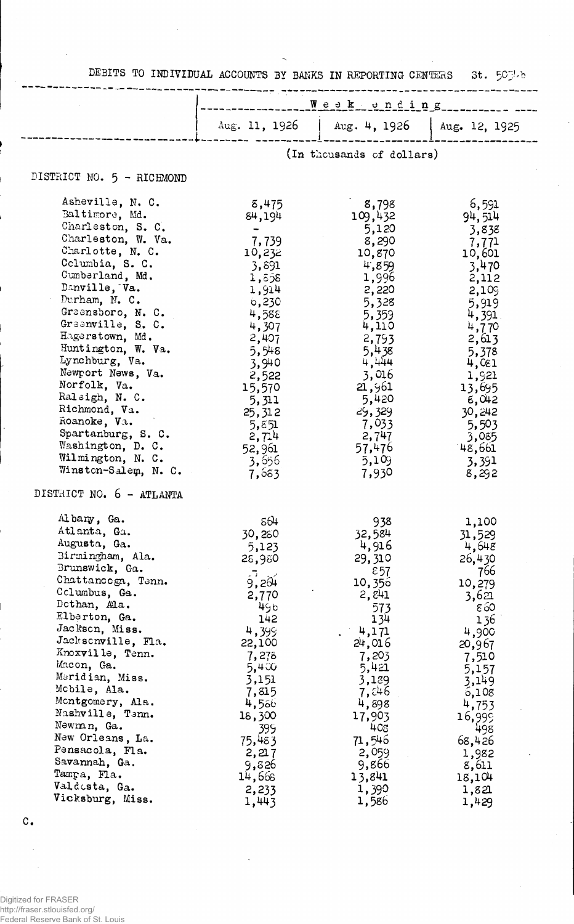|                                                                                                                                                                                                                                                                                                                                                                                                                                                                | DEBITS TO INDIVIDUAL ACCOUNTS BY BANKS IN REPORTING CENTERS 5t. 50% b                                                                                                                                           |                                                                                                                                                                                                                   |                                                                                                                                                                                                                       |  |
|----------------------------------------------------------------------------------------------------------------------------------------------------------------------------------------------------------------------------------------------------------------------------------------------------------------------------------------------------------------------------------------------------------------------------------------------------------------|-----------------------------------------------------------------------------------------------------------------------------------------------------------------------------------------------------------------|-------------------------------------------------------------------------------------------------------------------------------------------------------------------------------------------------------------------|-----------------------------------------------------------------------------------------------------------------------------------------------------------------------------------------------------------------------|--|
|                                                                                                                                                                                                                                                                                                                                                                                                                                                                | <u> The Skeunding</u>                                                                                                                                                                                           |                                                                                                                                                                                                                   |                                                                                                                                                                                                                       |  |
|                                                                                                                                                                                                                                                                                                                                                                                                                                                                |                                                                                                                                                                                                                 | Aug. 11, 1926   Aug. 4, 1926                                                                                                                                                                                      | Aug. 12, 1925                                                                                                                                                                                                         |  |
|                                                                                                                                                                                                                                                                                                                                                                                                                                                                |                                                                                                                                                                                                                 | (In thousands of dollars)                                                                                                                                                                                         |                                                                                                                                                                                                                       |  |
| DISTRICT NO. 5 - RICHMOND                                                                                                                                                                                                                                                                                                                                                                                                                                      |                                                                                                                                                                                                                 |                                                                                                                                                                                                                   |                                                                                                                                                                                                                       |  |
| Asheville, N. C.<br>Baltimore, Md.<br>Charleston, S. C.<br>Charleston, W. Va.<br>Charlotte, N. C.<br>Columbia, S. C.<br>Cumberland, Md.<br>Danville, Va.<br>Durham, N. C.<br>Greensboro, N. C.<br>Greenville, S. C.<br>Hagerstown, Md.<br>Huntington, W. Va.<br>Lynchburg, Va.<br>Newport News, Va.<br>Norfolk, Va.<br>Raleigh, N. C.<br>Richmond, Va.<br>Roanoke, Va.<br>Spartanburg, S. C.<br>Washington, D. C.<br>Wilmington, N. C.<br>Winston-Salem, N. C. | 8,475<br>84,194<br>7,739<br>10,232<br>3,891<br>1,558<br>1,914<br>$\circ$ , 230<br>4,588<br>4,307<br>2,407<br>5,548<br>3,940<br>2,522<br>15,570<br>5,311<br>25,312<br>5,851<br>2,714<br>52,961<br>3,656<br>7,683 | 8,798<br>109,432<br>5,120<br>8,290<br>10,870<br>4,859<br>1,996<br>2,220<br>5,328<br>5,359<br>4,110<br>2,793<br>5,438<br>4,444<br>3,016<br>21,961<br>5,420<br>29,329<br>7,033<br>2,747<br>57,476<br>5,109<br>7,930 | 6,591<br>94,514<br>3,838<br>7,771<br>10,601<br>3,470<br>2,112<br>2,109<br>5,919<br>$4,391$ .<br>4,770<br>2,613<br>5,378<br>4,081<br>1,921<br>13,695<br>-6,042<br>30,242<br>5,503<br>3,085<br>48,661<br>3,391<br>8,292 |  |
| DISTRICT NO. 6 - ATLANTA                                                                                                                                                                                                                                                                                                                                                                                                                                       |                                                                                                                                                                                                                 |                                                                                                                                                                                                                   |                                                                                                                                                                                                                       |  |
| Albany, Ga.<br>Atlanta, Ga.<br>Augusta, Ga.<br>Birmingham, Ala.<br>Brunswick, Ga.<br>Chattanooga, Tenn.<br>Columbus, Ga.<br>Dothan, Ala.<br>Elberton, Ga.<br>Jackson, Miss.<br>Jacksonville, Fla.<br>Knoxville, Tenn.<br>Macon, Ga.<br>Meridian, Miss.<br>Mobile, Ala.<br>Montgomery, Ala.<br>Nashville, Tenn.<br>Newman, Ga.<br>New Orleans, La.<br>Pensacola, Fla.<br>Savannah, Ga.                                                                          | 564<br>30,280<br>5,123<br>28,980<br>5,201<br>2,770<br>496<br>142<br>4,399<br>22,100<br>7,278<br>5,400<br>3,151<br>7,815<br>4,586<br>18,300<br>399<br>75,483<br>2,217<br>9,826                                   | 938<br>32,584<br>4,916<br>29,310<br>$\epsilon$ 57<br>10,356<br>2,841<br>573<br>134<br>4,171<br>24,016<br>7,203<br>5,421<br>3,189<br>7,846<br>4,898<br>17,903<br>408<br>71,546<br>2,059<br>9,866                   | 1,100<br>31,529<br>4,648<br>26,430<br>766<br>10,279<br>3,621<br>860<br>136<br>4,900<br>20,967<br>7,510<br>5,157<br>3,149<br>6,108<br>4,753<br>16,999<br>498<br>68,426<br>1,982<br>8,611                               |  |
| Tampa, Fla.<br>Valdosta, Ga.<br>Vicksburg, Miss.                                                                                                                                                                                                                                                                                                                                                                                                               | 14,668<br>2,233<br>1,443                                                                                                                                                                                        | 13,841<br>1,390<br>1,586                                                                                                                                                                                          | 18,104<br>1,821<br>1,429                                                                                                                                                                                              |  |

 $\mathtt{C}$  .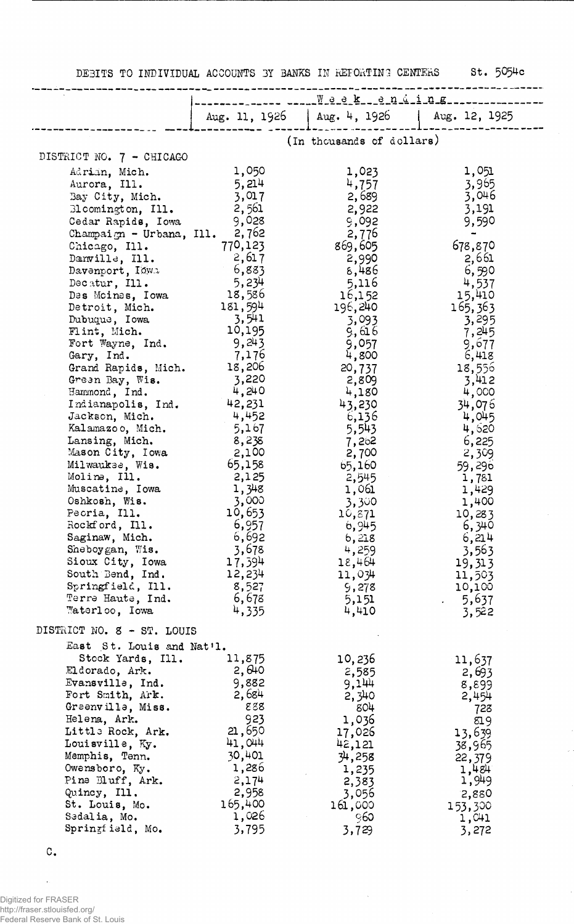DEBITS TO INDIVIDUAL ACCOUNTS BY BANKS IN REPORTING CENTERS St. 5054c

 $\hat{\varphi}$ 

|                                     | --- ----- Week __ending_ne------------- |                                              |                  |  |  |
|-------------------------------------|-----------------------------------------|----------------------------------------------|------------------|--|--|
|                                     |                                         | Aug. 11, 1926   Aug. 4, 1926   Aug. 12, 1925 |                  |  |  |
|                                     |                                         |                                              |                  |  |  |
|                                     |                                         | (In thousands of dollars)                    |                  |  |  |
| DISTRICT NO. 7 - CHICAGO            |                                         |                                              |                  |  |  |
| Adrian, Mich.                       | 1,050                                   | 1,023                                        | 1,051            |  |  |
| Aurora, Ill.                        | 5,214                                   | 4,757                                        | 3,965            |  |  |
| Bay City, Mich.                     | 3,017                                   | 2,689                                        | 3,046            |  |  |
| 31 comington, Ill.                  | 2,561                                   | 2,922                                        | 3,191            |  |  |
| Cedar Rapids, Iowa                  | 9,028                                   | 9,092                                        | 9,590            |  |  |
| Champaign - Urbana, Ill. $2,762$    | 770,123                                 | 2,776                                        |                  |  |  |
| Chicago, Ill.<br>Danville, Ill.     | 2,617                                   | 869,605<br>2,990                             | 678,870          |  |  |
| Davenport, Iowa                     | 6,883                                   | 8,486                                        | 2,661<br>6,590   |  |  |
| Decatur, Ill.                       | 5,234                                   | 5,116                                        | 4,537            |  |  |
| Des Moines, Iowa                    | 18,586                                  | 16,152                                       | 15,410           |  |  |
| Detroit, Mich.                      | 181,594                                 | 196,240                                      | 165,363          |  |  |
| Dubuque, Iowa                       | 3,541                                   | 3,093                                        | 3,295            |  |  |
| Flint, Mich.                        | 10,195                                  | 9,616                                        | 7,245            |  |  |
| Fort Wayne, Ind.                    | 9,243                                   | 9,057                                        | 9,677            |  |  |
| Gary, Ind.                          | 7,176                                   | 4,800                                        | 6,418            |  |  |
| Grand Rapids, Mich.                 | 18,206                                  | 20,737                                       | 18,556           |  |  |
| Green Bay, Wis.                     | 3,220                                   | 2,809                                        | 3,412            |  |  |
| Hammond, Ind.<br>Indianapolis, Ind. | 4,240<br>42,231                         | 4,180                                        | 4,000<br>34,076  |  |  |
| Jackson, Mich.                      | 4,452                                   | 43,230<br>6,136                              | 4,045            |  |  |
| Kalamazoo, Mich.                    | 5,167                                   | 5,543                                        | 4,520            |  |  |
| Lansing, Mich.                      | 8,238                                   | 7,262                                        | 6,225            |  |  |
| Mason City, Iowa                    | 2,100                                   | 2,700                                        | 2,309            |  |  |
| Milwaukse, Wis.                     | 65,158                                  | 65,160                                       | 59,296           |  |  |
| Molina, Ill.                        | 2,125                                   | 2,545                                        | 1,781            |  |  |
| Muscatine, Iowa                     | 1,348                                   | 1,061                                        | 1,429            |  |  |
| Oshkosh, Wis.                       | 3,000                                   | 3,300                                        | 1,400            |  |  |
| Peoria, Ill.                        | 10,653                                  | 10,871                                       | 10,283           |  |  |
| Rockford, Ill.                      | 6,957                                   | 6,945                                        | 6,340            |  |  |
| Saginaw, Mich.<br>Sheboygan, Wis.   | 6,692<br>3,678                          | 6,218<br>4,259                               | 6,214<br>3,563   |  |  |
| Sioux City, Iowa                    | 17,394                                  | 18,464                                       | 19,313           |  |  |
| South Bend, Ind.                    | 12,234                                  | 11,034                                       | 11,503           |  |  |
| Springfield, Ill.                   | 8,527                                   | 9,278                                        | 10,100           |  |  |
| Terre Haute, Ind.                   | 6,678                                   | 5,151                                        | $-5,637$         |  |  |
| Waterloo, Iowa                      | 4,335                                   | 4,410                                        | 3,522            |  |  |
| DISTRICT NO. 8 - ST. LOUIS          |                                         |                                              |                  |  |  |
| East St. Louis and Nat'l.           |                                         |                                              |                  |  |  |
| Stock Yards, Ill.                   | 11,875                                  | 10,236                                       | 11,637           |  |  |
| Eldorado, Ark.                      | 2,640                                   | 2,585                                        | 2,693            |  |  |
| Evansville, Ind.                    | 9,882                                   | 9,144                                        | 8,899            |  |  |
| Fort Smith, Ark.                    | 2,684                                   | 2,340                                        | 2,454            |  |  |
| Greenville, Miss.                   | 888                                     | 804                                          | 723              |  |  |
| Helena, Ark.<br>Little Rock, Ark.   | 923<br>21,650                           | 1,036                                        | 819              |  |  |
| Louisville, Ky.                     | 41,044                                  | 17,026<br>42,121                             | 13,639           |  |  |
| Memphis, Tenn.                      | 30,401                                  | 34,258                                       | 38,965<br>22,379 |  |  |
| Owensboro, Ky.                      | 1,286                                   | 1,235                                        | 1,484            |  |  |
| Pine Bluff, Ark.                    | 2,174                                   | 2,383                                        | 1,949            |  |  |
| Quincy, Ill.                        | 2,958                                   | 3,056                                        | 2,880            |  |  |
| St. Louis, Mo.                      | 165,400                                 | 161,000                                      | 153,300          |  |  |
| Sedalia, Mo.                        | 1,026                                   | 960                                          | 1,041            |  |  |
| Springfield, Mo.                    | 3,795                                   | 3,729                                        | 3,272            |  |  |

 $\sim$ 

C.

 $\hat{\mathbf{v}}$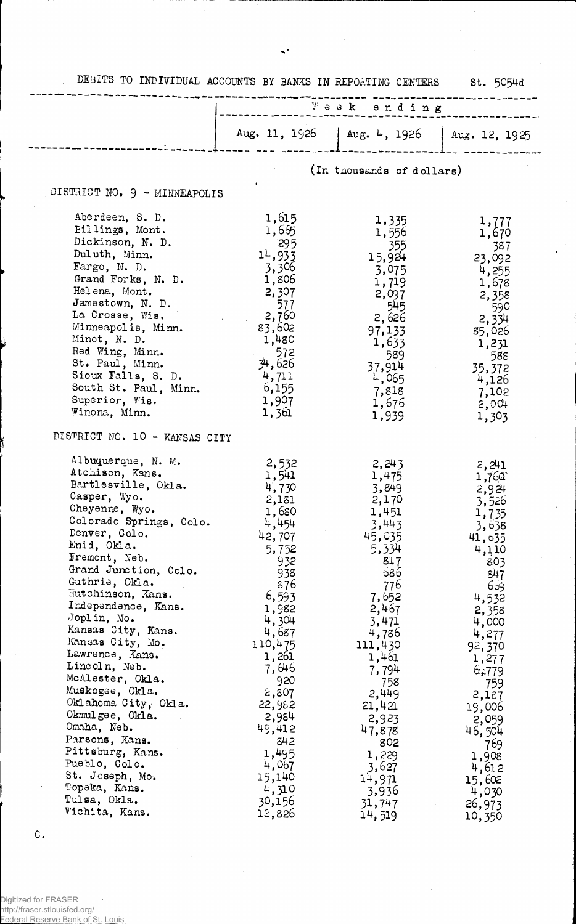| DEBITS TO INDIVIDUAL ACCOUNTS BY BANKS IN REPORTING CENTERS St. 5054d                                                                                                                                                                                                                                                                                                                                                                                                                                                                                                                        |                                                                                                                                                                                                                                                                          |                                                                                                                                                                                                                                                                          |                                                                                                                                                                                                                                                                            |
|----------------------------------------------------------------------------------------------------------------------------------------------------------------------------------------------------------------------------------------------------------------------------------------------------------------------------------------------------------------------------------------------------------------------------------------------------------------------------------------------------------------------------------------------------------------------------------------------|--------------------------------------------------------------------------------------------------------------------------------------------------------------------------------------------------------------------------------------------------------------------------|--------------------------------------------------------------------------------------------------------------------------------------------------------------------------------------------------------------------------------------------------------------------------|----------------------------------------------------------------------------------------------------------------------------------------------------------------------------------------------------------------------------------------------------------------------------|
|                                                                                                                                                                                                                                                                                                                                                                                                                                                                                                                                                                                              |                                                                                                                                                                                                                                                                          | Week ending                                                                                                                                                                                                                                                              |                                                                                                                                                                                                                                                                            |
|                                                                                                                                                                                                                                                                                                                                                                                                                                                                                                                                                                                              |                                                                                                                                                                                                                                                                          | Aug. 11, 1926   Aug. 4, 1926   Aug. 12, 1925                                                                                                                                                                                                                             |                                                                                                                                                                                                                                                                            |
|                                                                                                                                                                                                                                                                                                                                                                                                                                                                                                                                                                                              |                                                                                                                                                                                                                                                                          | (In thousands of dollars)                                                                                                                                                                                                                                                |                                                                                                                                                                                                                                                                            |
| DISTRICT NO. 9 - MINNEAPOLIS                                                                                                                                                                                                                                                                                                                                                                                                                                                                                                                                                                 |                                                                                                                                                                                                                                                                          |                                                                                                                                                                                                                                                                          |                                                                                                                                                                                                                                                                            |
| Aberdeen, S. D.<br>Billings, Mont.<br>Dickinson, N. D.<br>Duluth, Minn.<br>Fargo, N. D.<br>Grand Forks, N. D.<br>Helena, Mont.<br>Jamestown, N. D.<br>La Crosse, Wis.<br>Minneapolis, Minn.<br>Minot, N. D.<br>Red Wing, Minn.<br>St. Paul, Minn.<br>Sioux Falls, S. D.<br>South St. Paul, Minn.<br>Superior, Wis.<br>Winona, Minn.                                                                                                                                                                                                                                                          | 1,615<br>1,665<br>295<br>14,933<br>3,306<br>1,806<br>2,307<br>577<br>2,760<br>83,602<br>1,480<br>572<br>34,626<br>4,711<br>6,155<br>1,907<br>1,361                                                                                                                       | 1,335<br>1,556<br>355<br>15,924<br>3,075<br>1,719<br>2,097<br>545<br>2,626<br>97,133<br>1,633<br>589<br>37,914<br>4,065<br>7,818<br>1,676                                                                                                                                | 1,777<br>1,670<br>- 387<br>23,092<br>4,255<br>1,678<br>2,358<br>590<br>2,334<br>85,026<br>1,231<br>588<br>35,372<br>4,126<br>7,102<br>$2,00 +$                                                                                                                             |
| DISTRICT NO. 10 - KANSAS CITY                                                                                                                                                                                                                                                                                                                                                                                                                                                                                                                                                                |                                                                                                                                                                                                                                                                          | 1,939                                                                                                                                                                                                                                                                    | 1,303                                                                                                                                                                                                                                                                      |
| Albuquerque, N. M.<br>Atchison, Kans.<br>Bartlesville, Okla.<br>Casper, Wyo.<br>Cheyenne, Wyo.<br>Colorado Springs, Colo.<br>Denver, Colo.<br>Enid, Okla.<br>Fremont, Neb.<br>Grand Junction, Colo.<br>Guthrie, Okla.<br>Hutchinson, Kans.<br>Independence, Kans.<br>Joplin, Mo.<br>Kansas City, Kans.<br>Kansas City, Mo.<br>Lawrence, Kans.<br>Lincoln, Neb.<br>McAlester, Okla.<br>Muskogee, Okla.<br>Oklahoma City, Okla.<br>Okmulgee, Okla.<br>Omaha, Neb.<br>Parsons, Kans.<br>Pittsburg, Kans.<br>Pueblo, Colo.<br>St. Joseph, Mo.<br>Topeka, Kans.<br>Tulsa, Okla.<br>Wichita, Kans. | 2,532<br>1,541<br>4,730<br>2,131<br>1,680<br>4,454<br>42,707<br>5,752<br>932<br>938<br>876<br>6,593<br>1,982<br>4,304<br>4,687<br>110,475<br>1,261<br>7,046<br>920<br>2,807<br>22,982<br>2,984<br>49,412<br>542<br>1,495<br>4,067<br>15,140<br>4,310<br>30,156<br>12,826 | 2,243<br>1,475<br>3,849<br>2,170<br>1,451<br>3,443<br>45,035<br>5,334<br>817<br>686<br>776<br>7,652<br>2,467<br>3,471<br>4,786<br>111,430<br>1,461<br>7,794<br>758<br>2,449<br>21,421<br>2,923<br>47,878<br>802<br>1,229<br>3,627<br>14,971<br>3,936<br>31,747<br>14,519 | 2,241<br>1,760<br>$2,92 +$<br>3,526<br>1,735<br>3,638<br>41,035<br>4,110<br>803<br>847<br>609<br>4,532<br>2,358<br>4,000<br>4,277<br>92,370<br>1,277<br>6,779<br>759<br>2,187<br>19,006<br>2,059<br>46,504<br>769<br>1,908<br>4,612<br>15,602<br>4,030<br>26,973<br>10,350 |

 $\ddot{\phantom{a}}$ 

 $\mathbf{R}^{(2)}$ 

C.